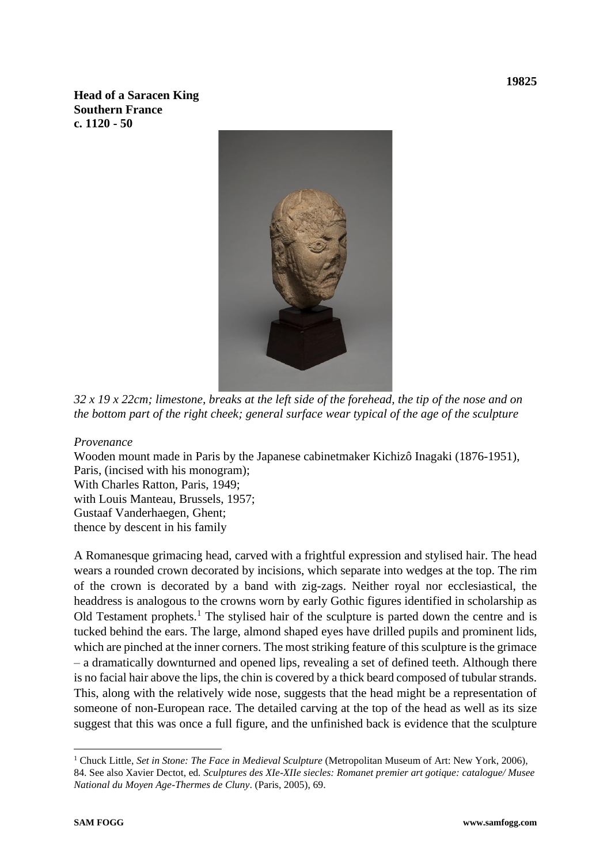**Head of a Saracen King Southern France c. 1120 - 50**



*32 x 19 x 22cm; limestone, breaks at the left side of the forehead, the tip of the nose and on the bottom part of the right cheek; general surface wear typical of the age of the sculpture*

*Provenance*

Wooden mount made in Paris by the Japanese cabinetmaker Kichizô Inagaki (1876-1951), Paris, (incised with his monogram); With Charles Ratton, Paris, 1949; with Louis Manteau, Brussels, 1957; Gustaaf Vanderhaegen, Ghent; thence by descent in his family

A Romanesque grimacing head, carved with a frightful expression and stylised hair. The head wears a rounded crown decorated by incisions, which separate into wedges at the top. The rim of the crown is decorated by a band with zig-zags. Neither royal nor ecclesiastical, the headdress is analogous to the crowns worn by early Gothic figures identified in scholarship as Old Testament prophets.<sup>1</sup> The stylised hair of the sculpture is parted down the centre and is tucked behind the ears. The large, almond shaped eyes have drilled pupils and prominent lids, which are pinched at the inner corners. The most striking feature of this sculpture is the grimace – a dramatically downturned and opened lips, revealing a set of defined teeth. Although there is no facial hair above the lips, the chin is covered by a thick beard composed of tubular strands. This, along with the relatively wide nose, suggests that the head might be a representation of someone of non-European race. The detailed carving at the top of the head as well as its size suggest that this was once a full figure, and the unfinished back is evidence that the sculpture

<sup>1</sup> Chuck Little, *Set in Stone: The Face in Medieval Sculpture* (Metropolitan Museum of Art: New York, 2006), 84. See also Xavier Dectot, ed*. Sculptures des XIe-XIIe siecles: Romanet premier art gotique: catalogue/ Musee National du Moyen Age-Thermes de Cluny*. (Paris, 2005), 69.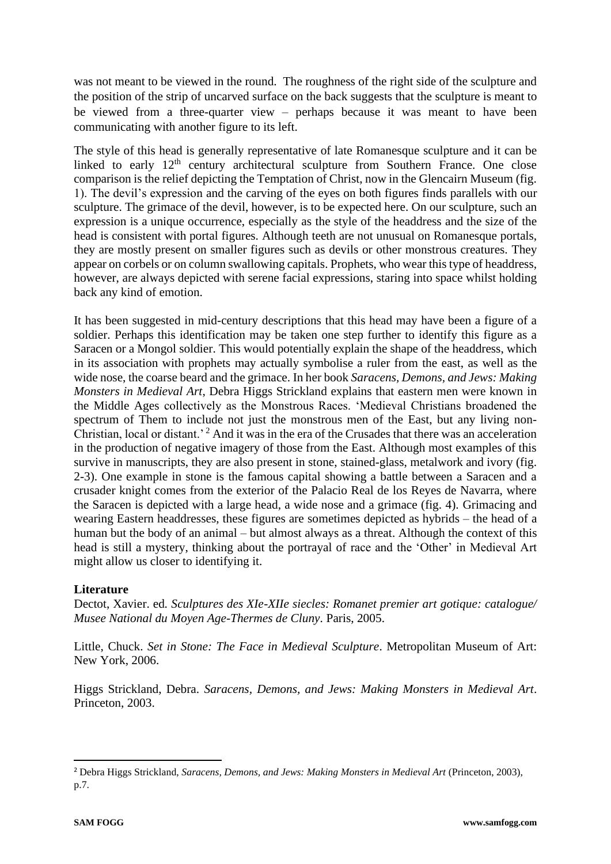was not meant to be viewed in the round. The roughness of the right side of the sculpture and the position of the strip of uncarved surface on the back suggests that the sculpture is meant to be viewed from a three-quarter view – perhaps because it was meant to have been communicating with another figure to its left.

The style of this head is generally representative of late Romanesque sculpture and it can be linked to early  $12<sup>th</sup>$  century architectural sculpture from Southern France. One close comparison is the relief depicting the Temptation of Christ, now in the Glencairn Museum (fig. 1). The devil's expression and the carving of the eyes on both figures finds parallels with our sculpture. The grimace of the devil, however, is to be expected here. On our sculpture, such an expression is a unique occurrence, especially as the style of the headdress and the size of the head is consistent with portal figures. Although teeth are not unusual on Romanesque portals, they are mostly present on smaller figures such as devils or other monstrous creatures. They appear on corbels or on column swallowing capitals. Prophets, who wear this type of headdress, however, are always depicted with serene facial expressions, staring into space whilst holding back any kind of emotion.

It has been suggested in mid-century descriptions that this head may have been a figure of a soldier. Perhaps this identification may be taken one step further to identify this figure as a Saracen or a Mongol soldier. This would potentially explain the shape of the headdress, which in its association with prophets may actually symbolise a ruler from the east, as well as the wide nose, the coarse beard and the grimace. In her book *Saracens, Demons, and Jews: Making Monsters in Medieval Art*, Debra Higgs Strickland explains that eastern men were known in the Middle Ages collectively as the Monstrous Races. 'Medieval Christians broadened the spectrum of Them to include not just the monstrous men of the East, but any living non-Christian, local or distant.<sup>2</sup> And it was in the era of the Crusades that there was an acceleration in the production of negative imagery of those from the East. Although most examples of this survive in manuscripts, they are also present in stone, stained-glass, metalwork and ivory (fig. 2-3). One example in stone is the famous capital showing a battle between a Saracen and a crusader knight comes from the exterior of the Palacio Real de los Reyes de Navarra, where the Saracen is depicted with a large head, a wide nose and a grimace (fig. 4). Grimacing and wearing Eastern headdresses, these figures are sometimes depicted as hybrids – the head of a human but the body of an animal – but almost always as a threat. Although the context of this head is still a mystery, thinking about the portrayal of race and the 'Other' in Medieval Art might allow us closer to identifying it.

## **Literature**

Dectot, Xavier. ed*. Sculptures des XIe-XIIe siecles: Romanet premier art gotique: catalogue/ Musee National du Moyen Age-Thermes de Cluny*. Paris, 2005.

Little, Chuck. *Set in Stone: The Face in Medieval Sculpture*. Metropolitan Museum of Art: New York, 2006.

Higgs Strickland, Debra. *Saracens, Demons, and Jews: Making Monsters in Medieval Art*. Princeton, 2003.

<sup>2</sup> Debra Higgs Strickland, *Saracens, Demons, and Jews: Making Monsters in Medieval Art* (Princeton, 2003), p.7.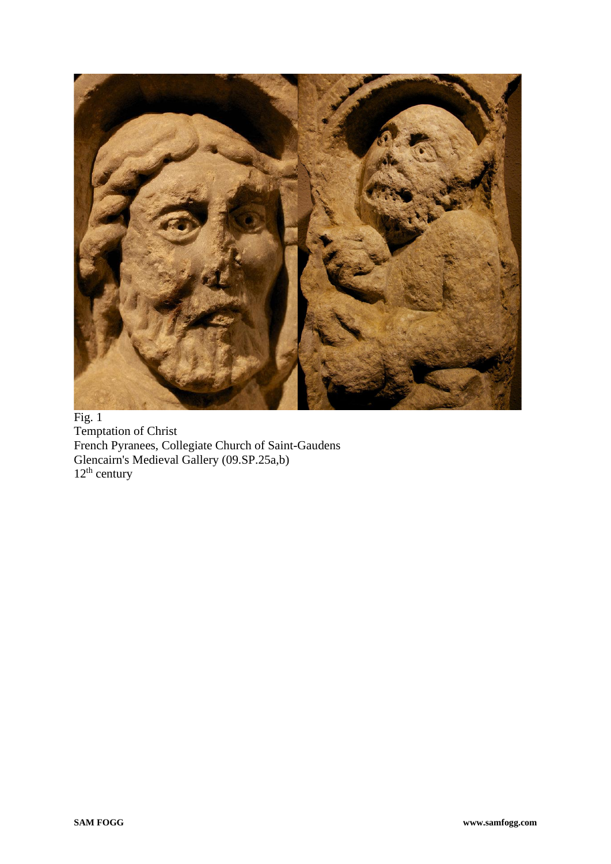

Fig. 1 Temptation of Christ French Pyranees, Collegiate Church of Saint-Gaudens Glencairn's Medieval Gallery (09.SP.25a,b)  $12<sup>th</sup>$  century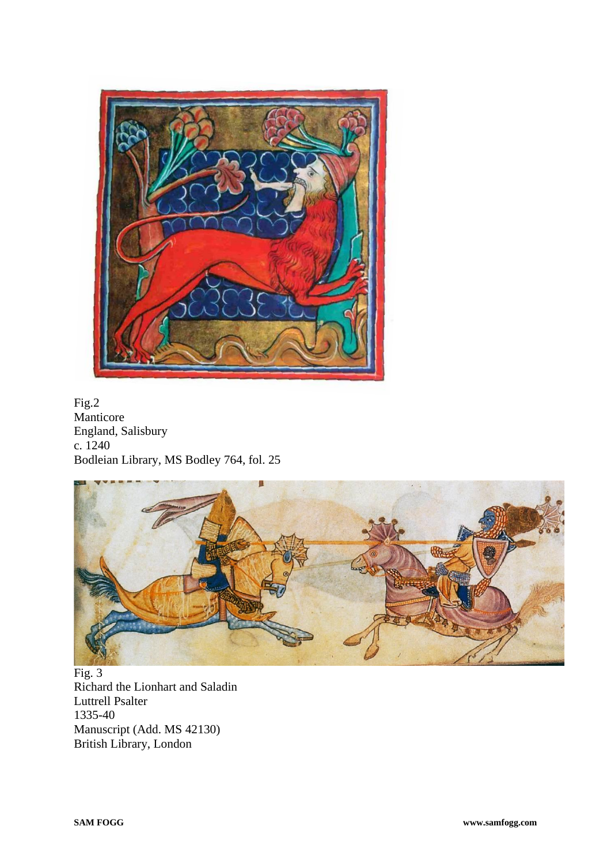

Fig.2 Manticore England, Salisbury c. 1240 Bodleian Library, MS Bodley 764, fol. 25



Fig. 3 Richard the Lionhart and Saladin Luttrell Psalter 1335-40 Manuscript (Add. MS 42130) British Library, London